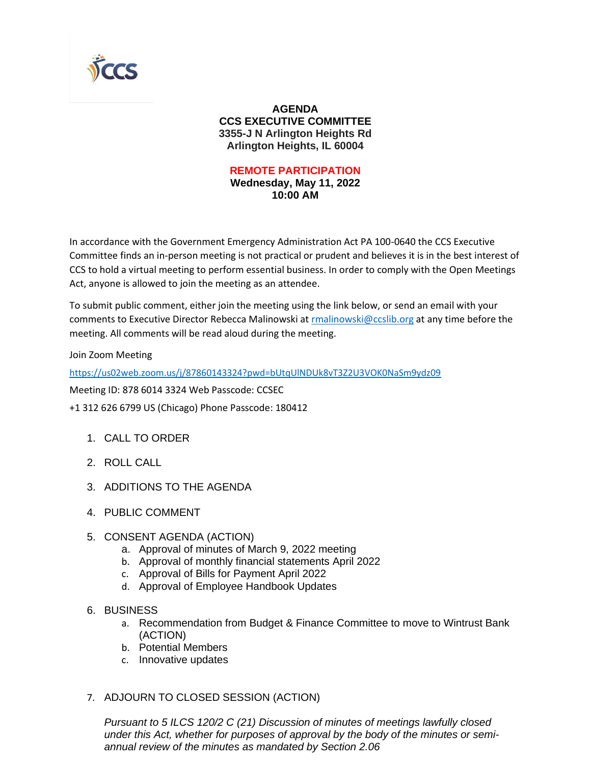

#### **AGENDA CCS EXECUTIVE COMMITTEE 3355-J N Arlington Heights Rd Arlington Heights, IL 60004**

#### **REMOTE PARTICIPATION Wednesday, May 11, 2022 10:00 AM**

In accordance with the Government Emergency Administration Act PA 100-0640 the CCS Executive Committee finds an in-person meeting is not practical or prudent and believes it is in the best interest of CCS to hold a virtual meeting to perform essential business. In order to comply with the Open Meetings Act, anyone is allowed to join the meeting as an attendee.

To submit public comment, either join the meeting using the link below, or send an email with your comments to Executive Director Rebecca Malinowski at [rmalinowski@ccslib.org](mailto:rmalinowski@ccslib.org) at any time before the meeting. All comments will be read aloud during the meeting.

Join Zoom Meeting

<https://us02web.zoom.us/j/87860143324?pwd=bUtqUlNDUk8vT3Z2U3VOK0NaSm9ydz09>

Meeting ID: 878 6014 3324 Web Passcode: CCSEC

+1 312 626 6799 US (Chicago) Phone Passcode: 180412

- 1. CALL TO ORDER
- 2. ROLL CALL
- 3. ADDITIONS TO THE AGENDA
- 4. PUBLIC COMMENT
- 5. CONSENT AGENDA (ACTION)
	- a. Approval of minutes of March 9, 2022 meeting
	- b. Approval of monthly financial statements April 2022
	- c. Approval of Bills for Payment April 2022
	- d. Approval of Employee Handbook Updates
- 6. BUSINESS
	- a. Recommendation from Budget & Finance Committee to move to Wintrust Bank (ACTION)
	- b. Potential Members
	- c. Innovative updates

### 7. ADJOURN TO CLOSED SESSION (ACTION)

*Pursuant to 5 ILCS 120/2 C (21) Discussion of minutes of meetings lawfully closed under this Act, whether for purposes of approval by the body of the minutes or semiannual review of the minutes as mandated by Section 2.06*